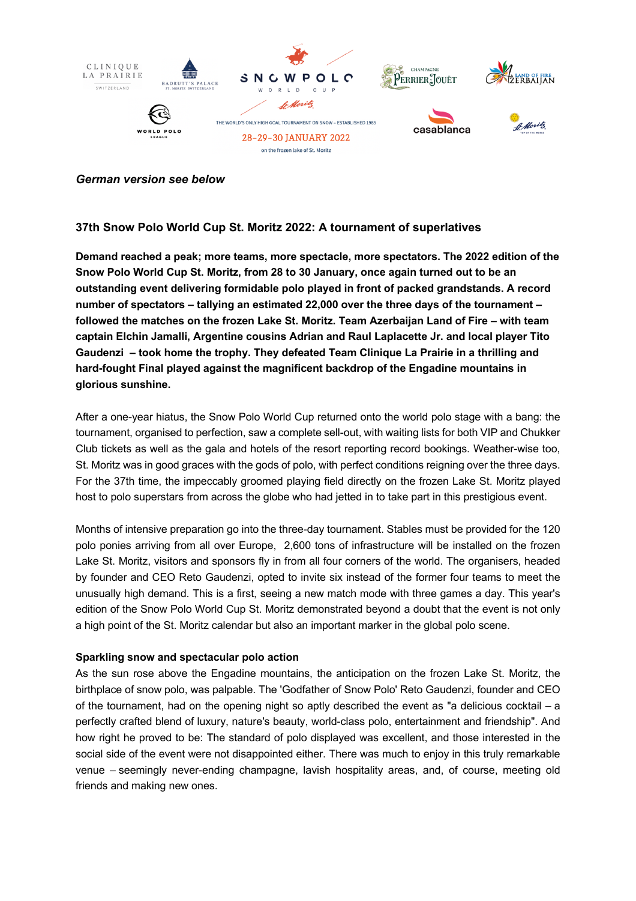

### *German version see below*

## **37th Snow Polo World Cup St. Moritz 2022: A tournament of superlatives**

**Demand reached a peak; more teams, more spectacle, more spectators. The 2022 edition of the Snow Polo World Cup St. Moritz, from 28 to 30 January, once again turned out to be an outstanding event delivering formidable polo played in front of packed grandstands. A record number of spectators – tallying an estimated 22,000 over the three days of the tournament – followed the matches on the frozen Lake St. Moritz. Team Azerbaijan Land of Fire – with team captain Elchin Jamalli, Argentine cousins Adrian and Raul Laplacette Jr. and local player Tito Gaudenzi – took home the trophy. They defeated Team Clinique La Prairie in a thrilling and hard-fought Final played against the magnificent backdrop of the Engadine mountains in glorious sunshine.** 

After a one-year hiatus, the Snow Polo World Cup returned onto the world polo stage with a bang: the tournament, organised to perfection, saw a complete sell-out, with waiting lists for both VIP and Chukker Club tickets as well as the gala and hotels of the resort reporting record bookings. Weather-wise too, St. Moritz was in good graces with the gods of polo, with perfect conditions reigning over the three days. For the 37th time, the impeccably groomed playing field directly on the frozen Lake St. Moritz played host to polo superstars from across the globe who had jetted in to take part in this prestigious event.

Months of intensive preparation go into the three-day tournament. Stables must be provided for the 120 polo ponies arriving from all over Europe, 2,600 tons of infrastructure will be installed on the frozen Lake St. Moritz, visitors and sponsors fly in from all four corners of the world. The organisers, headed by founder and CEO Reto Gaudenzi, opted to invite six instead of the former four teams to meet the unusually high demand. This is a first, seeing a new match mode with three games a day. This year's edition of the Snow Polo World Cup St. Moritz demonstrated beyond a doubt that the event is not only a high point of the St. Moritz calendar but also an important marker in the global polo scene.

### **Sparkling snow and spectacular polo action**

As the sun rose above the Engadine mountains, the anticipation on the frozen Lake St. Moritz, the birthplace of snow polo, was palpable. The 'Godfather of Snow Polo' Reto Gaudenzi, founder and CEO of the tournament, had on the opening night so aptly described the event as "a delicious cocktail – a perfectly crafted blend of luxury, nature's beauty, world-class polo, entertainment and friendship". And how right he proved to be: The standard of polo displayed was excellent, and those interested in the social side of the event were not disappointed either. There was much to enjoy in this truly remarkable venue – seemingly never-ending champagne, lavish hospitality areas, and, of course, meeting old friends and making new ones.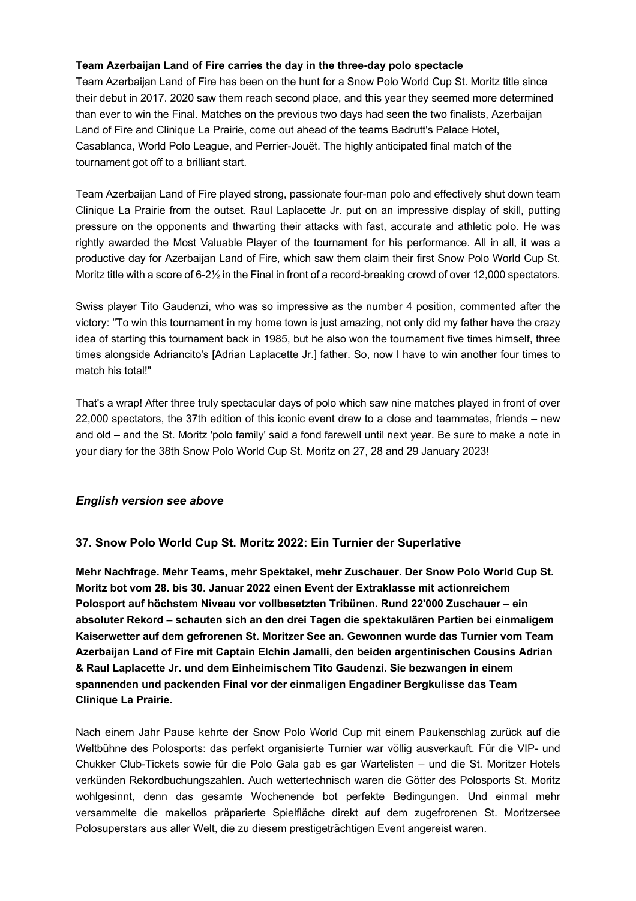## **Team Azerbaijan Land of Fire carries the day in the three-day polo spectacle**

Team Azerbaijan Land of Fire has been on the hunt for a Snow Polo World Cup St. Moritz title since their debut in 2017. 2020 saw them reach second place, and this year they seemed more determined than ever to win the Final. Matches on the previous two days had seen the two finalists, Azerbaijan Land of Fire and Clinique La Prairie, come out ahead of the teams Badrutt's Palace Hotel, Casablanca, World Polo League, and Perrier-Jouët. The highly anticipated final match of the tournament got off to a brilliant start.

Team Azerbaijan Land of Fire played strong, passionate four-man polo and effectively shut down team Clinique La Prairie from the outset. Raul Laplacette Jr. put on an impressive display of skill, putting pressure on the opponents and thwarting their attacks with fast, accurate and athletic polo. He was rightly awarded the Most Valuable Player of the tournament for his performance. All in all, it was a productive day for Azerbaijan Land of Fire, which saw them claim their first Snow Polo World Cup St. Moritz title with a score of 6-2½ in the Final in front of a record-breaking crowd of over 12,000 spectators.

Swiss player Tito Gaudenzi, who was so impressive as the number 4 position, commented after the victory: "To win this tournament in my home town is just amazing, not only did my father have the crazy idea of starting this tournament back in 1985, but he also won the tournament five times himself, three times alongside Adriancito's [Adrian Laplacette Jr.] father. So, now I have to win another four times to match his total!"

That's a wrap! After three truly spectacular days of polo which saw nine matches played in front of over 22,000 spectators, the 37th edition of this iconic event drew to a close and teammates, friends – new and old – and the St. Moritz 'polo family' said a fond farewell until next year. Be sure to make a note in your diary for the 38th Snow Polo World Cup St. Moritz on 27, 28 and 29 January 2023!

# *English version see above*

# **37. Snow Polo World Cup St. Moritz 2022: Ein Turnier der Superlative**

**Mehr Nachfrage. Mehr Teams, mehr Spektakel, mehr Zuschauer. Der Snow Polo World Cup St. Moritz bot vom 28. bis 30. Januar 2022 einen Event der Extraklasse mit actionreichem Polosport auf höchstem Niveau vor vollbesetzten Tribünen. Rund 22'000 Zuschauer – ein absoluter Rekord – schauten sich an den drei Tagen die spektakulären Partien bei einmaligem Kaiserwetter auf dem gefrorenen St. Moritzer See an. Gewonnen wurde das Turnier vom Team Azerbaijan Land of Fire mit Captain Elchin Jamalli, den beiden argentinischen Cousins Adrian & Raul Laplacette Jr. und dem Einheimischem Tito Gaudenzi. Sie bezwangen in einem spannenden und packenden Final vor der einmaligen Engadiner Bergkulisse das Team Clinique La Prairie.**

Nach einem Jahr Pause kehrte der Snow Polo World Cup mit einem Paukenschlag zurück auf die Weltbühne des Polosports: das perfekt organisierte Turnier war völlig ausverkauft. Für die VIP- und Chukker Club-Tickets sowie für die Polo Gala gab es gar Wartelisten – und die St. Moritzer Hotels verkünden Rekordbuchungszahlen. Auch wettertechnisch waren die Götter des Polosports St. Moritz wohlgesinnt, denn das gesamte Wochenende bot perfekte Bedingungen. Und einmal mehr versammelte die makellos präparierte Spielfläche direkt auf dem zugefrorenen St. Moritzersee Polosuperstars aus aller Welt, die zu diesem prestigeträchtigen Event angereist waren.